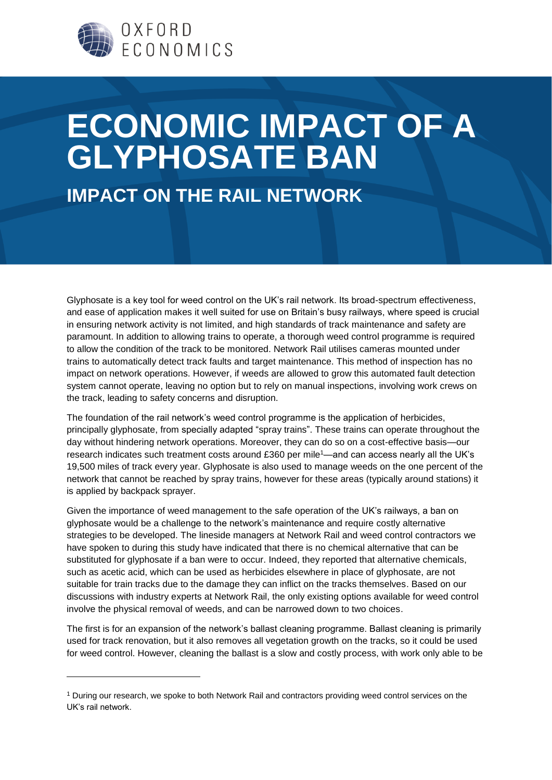

## **ECONOMIC IMPACT OF A GLYPHOSATE BAN**

**IMPACT ON THE RAIL NETWORK**

Glyphosate is a key tool for weed control on the UK's rail network. Its broad-spectrum effectiveness, and ease of application makes it well suited for use on Britain's busy railways, where speed is crucial in ensuring network activity is not limited, and high standards of track maintenance and safety are paramount. In addition to allowing trains to operate, a thorough weed control programme is required to allow the condition of the track to be monitored. Network Rail utilises cameras mounted under trains to automatically detect track faults and target maintenance. This method of inspection has no impact on network operations. However, if weeds are allowed to grow this automated fault detection system cannot operate, leaving no option but to rely on manual inspections, involving work crews on the track, leading to safety concerns and disruption.

The foundation of the rail network's weed control programme is the application of herbicides, principally glyphosate, from specially adapted "spray trains". These trains can operate throughout the day without hindering network operations. Moreover, they can do so on a cost-effective basis—our research indicates such treatment costs around £360 per mile<sup>1</sup>—and can access nearly all the UK's 19,500 miles of track every year. Glyphosate is also used to manage weeds on the one percent of the network that cannot be reached by spray trains, however for these areas (typically around stations) it is applied by backpack sprayer.

Given the importance of weed management to the safe operation of the UK's railways, a ban on glyphosate would be a challenge to the network's maintenance and require costly alternative strategies to be developed. The lineside managers at Network Rail and weed control contractors we have spoken to during this study have indicated that there is no chemical alternative that can be substituted for glyphosate if a ban were to occur. Indeed, they reported that alternative chemicals, such as acetic acid, which can be used as herbicides elsewhere in place of glyphosate, are not suitable for train tracks due to the damage they can inflict on the tracks themselves. Based on our discussions with industry experts at Network Rail, the only existing options available for weed control involve the physical removal of weeds, and can be narrowed down to two choices.

The first is for an expansion of the network's ballast cleaning programme. Ballast cleaning is primarily used for track renovation, but it also removes all vegetation growth on the tracks, so it could be used for weed control. However, cleaning the ballast is a slow and costly process, with work only able to be

-

<sup>1</sup> During our research, we spoke to both Network Rail and contractors providing weed control services on the UK's rail network.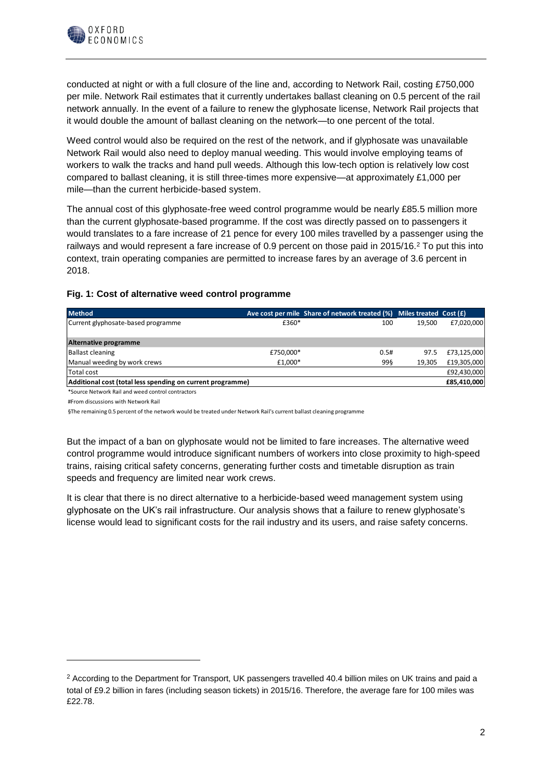

conducted at night or with a full closure of the line and, according to Network Rail, costing £750,000 per mile. Network Rail estimates that it currently undertakes ballast cleaning on 0.5 percent of the rail network annually. In the event of a failure to renew the glyphosate license, Network Rail projects that it would double the amount of ballast cleaning on the network—to one percent of the total.

Weed control would also be required on the rest of the network, and if glyphosate was unavailable Network Rail would also need to deploy manual weeding. This would involve employing teams of workers to walk the tracks and hand pull weeds. Although this low-tech option is relatively low cost compared to ballast cleaning, it is still three-times more expensive—at approximately £1,000 per mile—than the current herbicide-based system.

The annual cost of this glyphosate-free weed control programme would be nearly £85.5 million more than the current glyphosate-based programme. If the cost was directly passed on to passengers it would translates to a fare increase of 21 pence for every 100 miles travelled by a passenger using the railways and would represent a fare increase of 0.9 percent on those paid in 2015/16.<sup>2</sup> To put this into context, train operating companies are permitted to increase fares by an average of 3.6 percent in 2018.

|  |  |  |  |  |  |  | Fig. 1: Cost of alternative weed control programme |
|--|--|--|--|--|--|--|----------------------------------------------------|
|--|--|--|--|--|--|--|----------------------------------------------------|

| <b>Method</b>                                              |           | Ave cost per mile Share of network treated $(\%)$ Miles treated Cost (£) |        |             |
|------------------------------------------------------------|-----------|--------------------------------------------------------------------------|--------|-------------|
| Current glyphosate-based programme                         | £360*     | 100                                                                      | 19.500 | £7,020,000  |
|                                                            |           |                                                                          |        |             |
| Alternative programme                                      |           |                                                                          |        |             |
| <b>Ballast cleaning</b>                                    | £750,000* | 0.5#                                                                     | 97.5   | £73,125,000 |
| Manual weeding by work crews                               | £1.000*   | 99§                                                                      | 19.305 | £19,305,000 |
| Total cost                                                 |           |                                                                          |        | £92,430,000 |
| Additional cost (total less spending on current programme) |           |                                                                          |        | £85,410,000 |

\*Source Network Rail and weed control contractors

#From discussions with Network Rail

1

§The remaining 0.5 percent of the network would be treated under Network Rail's current ballast cleaning programme

But the impact of a ban on glyphosate would not be limited to fare increases. The alternative weed control programme would introduce significant numbers of workers into close proximity to high-speed trains, raising critical safety concerns, generating further costs and timetable disruption as train speeds and frequency are limited near work crews.

It is clear that there is no direct alternative to a herbicide-based weed management system using glyphosate on the UK's rail infrastructure. Our analysis shows that a failure to renew glyphosate's license would lead to significant costs for the rail industry and its users, and raise safety concerns.

 $2$  According to the Department for Transport, UK passengers travelled 40.4 billion miles on UK trains and paid a total of £9.2 billion in fares (including season tickets) in 2015/16. Therefore, the average fare for 100 miles was £22.78.